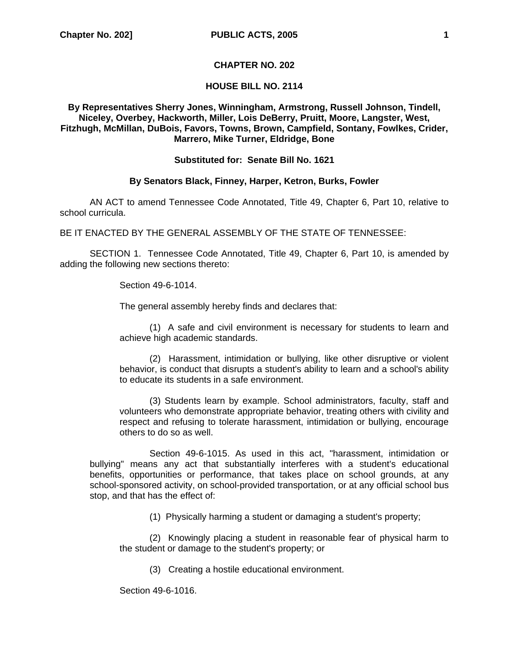# **CHAPTER NO. 202**

# **HOUSE BILL NO. 2114**

# **By Representatives Sherry Jones, Winningham, Armstrong, Russell Johnson, Tindell, Niceley, Overbey, Hackworth, Miller, Lois DeBerry, Pruitt, Moore, Langster, West, Fitzhugh, McMillan, DuBois, Favors, Towns, Brown, Campfield, Sontany, Fowlkes, Crider, Marrero, Mike Turner, Eldridge, Bone**

#### **Substituted for: Senate Bill No. 1621**

# **By Senators Black, Finney, Harper, Ketron, Burks, Fowler**

AN ACT to amend Tennessee Code Annotated, Title 49, Chapter 6, Part 10, relative to school curricula.

BE IT ENACTED BY THE GENERAL ASSEMBLY OF THE STATE OF TENNESSEE:

SECTION 1. Tennessee Code Annotated, Title 49, Chapter 6, Part 10, is amended by adding the following new sections thereto:

Section 49-6-1014.

The general assembly hereby finds and declares that:

(1) A safe and civil environment is necessary for students to learn and achieve high academic standards.

(2) Harassment, intimidation or bullying, like other disruptive or violent behavior, is conduct that disrupts a student's ability to learn and a school's ability to educate its students in a safe environment.

(3) Students learn by example. School administrators, faculty, staff and volunteers who demonstrate appropriate behavior, treating others with civility and respect and refusing to tolerate harassment, intimidation or bullying, encourage others to do so as well.

 Section 49-6-1015. As used in this act, "harassment, intimidation or bullying" means any act that substantially interferes with a student's educational benefits, opportunities or performance, that takes place on school grounds, at any school-sponsored activity, on school-provided transportation, or at any official school bus stop, and that has the effect of:

(1) Physically harming a student or damaging a student's property;

(2) Knowingly placing a student in reasonable fear of physical harm to the student or damage to the student's property; or

(3) Creating a hostile educational environment.

Section 49-6-1016.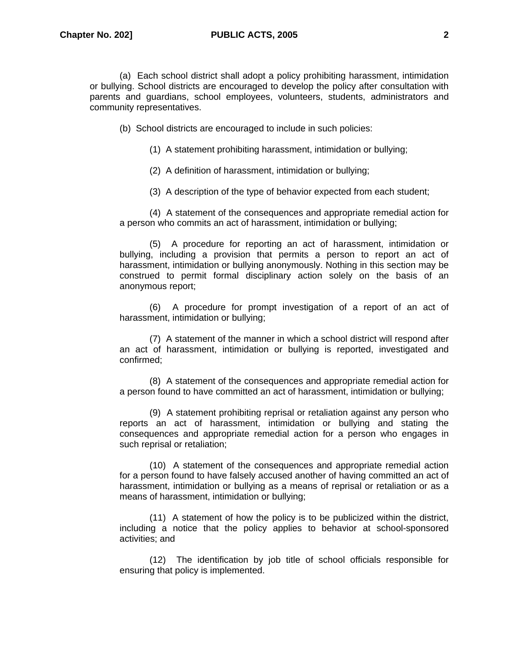(a) Each school district shall adopt a policy prohibiting harassment, intimidation or bullying. School districts are encouraged to develop the policy after consultation with parents and guardians, school employees, volunteers, students, administrators and community representatives.

(b) School districts are encouraged to include in such policies:

(1) A statement prohibiting harassment, intimidation or bullying;

(2) A definition of harassment, intimidation or bullying;

(3) A description of the type of behavior expected from each student;

(4) A statement of the consequences and appropriate remedial action for a person who commits an act of harassment, intimidation or bullying;

(5) A procedure for reporting an act of harassment, intimidation or bullying, including a provision that permits a person to report an act of harassment, intimidation or bullying anonymously. Nothing in this section may be construed to permit formal disciplinary action solely on the basis of an anonymous report;

(6) A procedure for prompt investigation of a report of an act of harassment, intimidation or bullying;

(7) A statement of the manner in which a school district will respond after an act of harassment, intimidation or bullying is reported, investigated and confirmed;

(8) A statement of the consequences and appropriate remedial action for a person found to have committed an act of harassment, intimidation or bullying;

(9) A statement prohibiting reprisal or retaliation against any person who reports an act of harassment, intimidation or bullying and stating the consequences and appropriate remedial action for a person who engages in such reprisal or retaliation;

(10) A statement of the consequences and appropriate remedial action for a person found to have falsely accused another of having committed an act of harassment, intimidation or bullying as a means of reprisal or retaliation or as a means of harassment, intimidation or bullying;

(11) A statement of how the policy is to be publicized within the district, including a notice that the policy applies to behavior at school-sponsored activities; and

(12) The identification by job title of school officials responsible for ensuring that policy is implemented.